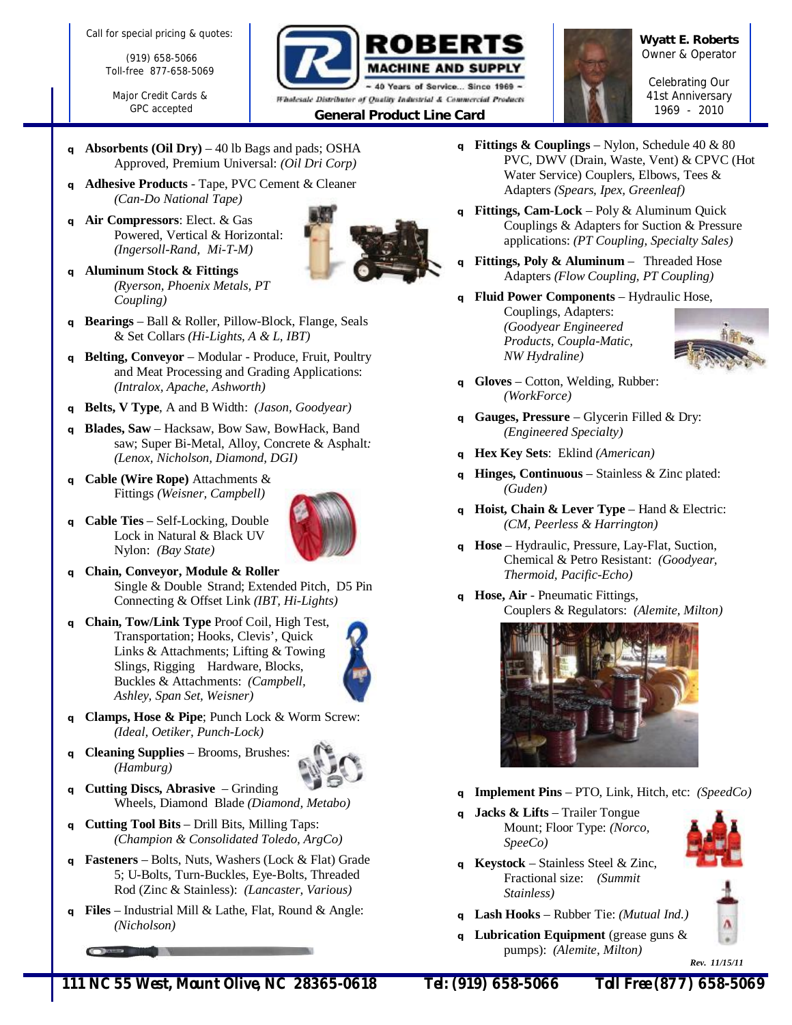Call for special pricing & quotes:

(919) 658-5066 Toll-free 877-658-5069

Major Credit Cards & GPC accepted



**Wyatt E. Roberts**  *Owner & Operator* 

*Celebrating Our 41st Anniversary <sup>1969</sup> - <sup>2010</sup>General Product Line Card* 

- **<sup>q</sup>Absorbents (Oil Dry)**  40 lb Bags and pads; OSHA Approved, Premium Universal: *(Oil Dri Corp)*
- **<sup>q</sup>Adhesive Products**  Tape, PVC Cement & Cleaner *(Can-Do National Tape)*
- **<sup>q</sup>Air Compressors**: Elect. & Gas Powered, Vertical & Horizontal: *(Ingersoll-Rand, Mi-T-M)*
- **<sup>q</sup>Aluminum Stock & Fittings**  *(Ryerson, Phoenix Metals, PT Coupling)*
- **<sup>q</sup>Bearings** Ball & Roller, Pillow-Block, Flange, Seals & Set Collars *(Hi-Lights, A & L, IBT)*
- **<sup>q</sup>Belting, Conveyor**  Modular Produce, Fruit, Poultry and Meat Processing and Grading Applications: *(Intralox, Apache, Ashworth)*
- **<sup>q</sup>Belts, V Type**, A and B Width: *(Jason, Goodyear)*
- **<sup>q</sup>Blades, Saw**  Hacksaw, Bow Saw, BowHack, Band saw; Super Bi-Metal, Alloy, Concrete & Asphalt*: (Lenox, Nicholson, Diamond, DGI)*
- **<sup>q</sup>Cable (Wire Rope)** Attachments & Fittings *(Weisner, Campbell)*
- **<sup>q</sup>Cable Ties**  Self-Locking, Double Lock in Natural & Black UV Nylon: *(Bay State)*



- **<sup>q</sup>Chain, Conveyor, Module & Roller**  Single & Double Strand; Extended Pitch, D5 Pin Connecting & Offset Link *(IBT, Hi-Lights)*
- **<sup>q</sup>Chain, Tow/Link Type** Proof Coil, High Test, Transportation; Hooks, Clevis', Quick Links & Attachments; Lifting & Towing Slings, Rigging Hardware, Blocks, Buckles & Attachments: *(Campbell, Ashley, Span Set, Weisner)*



- **<sup>q</sup>Clamps, Hose & Pipe**; Punch Lock & Worm Screw: *(Ideal, Oetiker, Punch-Lock)*
- **<sup>q</sup>Cleaning Supplies**  Brooms, Brushes: *(Hamburg)*



- **<sup>q</sup>Cutting Discs, Abrasive**  Grinding Wheels, Diamond Blade *(Diamond, Metabo)*
- **<sup>q</sup>Cutting Tool Bits**  Drill Bits, Milling Taps: *(Champion & Consolidated Toledo, ArgCo)*
- **<sup>q</sup>Fasteners**  Bolts, Nuts, Washers (Lock & Flat) Grade 5; U-Bolts, Turn-Buckles, Eye-Bolts, Threaded Rod (Zinc & Stainless): *(Lancaster, Various)*
- **<sup>q</sup>Files**  Industrial Mill & Lathe, Flat, Round & Angle: *(Nicholson)*
- **q Fittings**  $\&$  **Couplings** Nylon, Schedule 40  $\&$  80 PVC, DWV (Drain, Waste, Vent) & CPVC (Hot Water Service) Couplers, Elbows, Tees & Adapters *(Spears, Ipex, Greenleaf)*
- **<sup>q</sup>Fittings, Cam-Lock**  Poly & Aluminum Quick Couplings & Adapters for Suction & Pressure applications: *(PT Coupling, Specialty Sales)*
- **<sup>q</sup>Fittings, Poly & Aluminum**  Threaded Hose Adapters *(Flow Coupling, PT Coupling)*
- **<sup>q</sup>Fluid Power Components**  Hydraulic Hose, Couplings, Adapters: *(Goodyear Engineered Products, Coupla-Matic, NW Hydraline)*



- **<sup>q</sup>Gloves**  Cotton, Welding, Rubber: *(WorkForce)*
- **<sup>q</sup>Gauges, Pressure**  Glycerin Filled & Dry: *(Engineered Specialty)*
- **<sup>q</sup>Hex Key Sets**: Eklind *(American)*
- **Hinges, Continuous** Stainless & Zinc plated: *(Guden)*
- **<sup>q</sup>Hoist, Chain & Lever Type**  Hand & Electric: *(CM, Peerless & Harrington)*
- **<sup>q</sup>Hose**  Hydraulic, Pressure, Lay-Flat, Suction, Chemical & Petro Resistant: *(Goodyear, Thermoid, Pacific-Echo)*
- **<sup>q</sup>Hose, Air**  Pneumatic Fittings, Couplers & Regulators: *(Alemite, Milton)*



- **<sup>q</sup>Implement Pins**  PTO, Link, Hitch, etc: *(SpeedCo)*
- **<sup>q</sup>Jacks & Lifts**  Trailer Tongue Mount; Floor Type: *(Norco, SpeeCo)*



- **<sup>q</sup>Keystock**  Stainless Steel & Zinc, Fractional size: *(Summit Stainless)*
- **<sup>q</sup>Lash Hooks**  Rubber Tie: *(Mutual Ind.)*
- **<sup>q</sup>Lubrication Equipment** (grease guns & pumps): *(Alemite, Milton)*

 *Rev. 11/15/11*